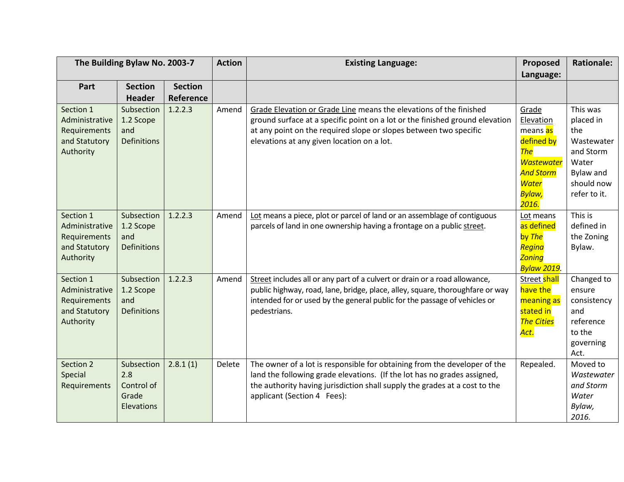| The Building Bylaw No. 2003-7                                             |                                                               |                | <b>Action</b> | <b>Existing Language:</b>                                                                                                                                                                                                                                             | Proposed                                                                                                                      | <b>Rationale:</b>                                                                                                  |
|---------------------------------------------------------------------------|---------------------------------------------------------------|----------------|---------------|-----------------------------------------------------------------------------------------------------------------------------------------------------------------------------------------------------------------------------------------------------------------------|-------------------------------------------------------------------------------------------------------------------------------|--------------------------------------------------------------------------------------------------------------------|
|                                                                           |                                                               |                |               |                                                                                                                                                                                                                                                                       | Language:                                                                                                                     |                                                                                                                    |
| Part                                                                      | <b>Section</b>                                                | <b>Section</b> |               |                                                                                                                                                                                                                                                                       |                                                                                                                               |                                                                                                                    |
|                                                                           | <b>Header</b>                                                 | Reference      |               |                                                                                                                                                                                                                                                                       |                                                                                                                               |                                                                                                                    |
| Section 1<br>Administrative<br>Requirements<br>and Statutory<br>Authority | Subsection<br>1.2 Scope<br>and<br><b>Definitions</b>          | 1.2.2.3        | Amend         | Grade Elevation or Grade Line means the elevations of the finished<br>ground surface at a specific point on a lot or the finished ground elevation<br>at any point on the required slope or slopes between two specific<br>elevations at any given location on a lot. | Grade<br>Elevation<br>means as<br>defined by<br><b>The</b><br><b>Wastewater</b><br><b>And Storm</b><br><b>Water</b><br>Bylaw, | This was<br>placed in<br>the<br>Wastewater<br>and Storm<br>Water<br><b>Bylaw and</b><br>should now<br>refer to it. |
| Section 1<br>Administrative<br>Requirements<br>and Statutory<br>Authority | Subsection<br>1.2 Scope<br>and<br><b>Definitions</b>          | 1.2.2.3        | Amend         | Lot means a piece, plot or parcel of land or an assemblage of contiguous<br>parcels of land in one ownership having a frontage on a public street.                                                                                                                    | 2016.<br>Lot means<br>as defined<br>by The<br>Regina<br><b>Zoning</b><br><mark>Bylaw 2019</mark> .                            | This is<br>defined in<br>the Zoning<br>Bylaw.                                                                      |
| Section 1<br>Administrative<br>Requirements<br>and Statutory<br>Authority | Subsection<br>1.2 Scope<br>and<br><b>Definitions</b>          | 1.2.2.3        | Amend         | Street includes all or any part of a culvert or drain or a road allowance,<br>public highway, road, lane, bridge, place, alley, square, thoroughfare or way<br>intended for or used by the general public for the passage of vehicles or<br>pedestrians.              | Street shall<br>have the<br>meaning as<br>stated in<br><b>The Cities</b><br>Act.                                              | Changed to<br>ensure<br>consistency<br>and<br>reference<br>to the<br>governing<br>Act.                             |
| Section 2<br>Special<br>Requirements                                      | Subsection<br>2.8<br>Control of<br>Grade<br><b>Elevations</b> | 2.8.1(1)       | Delete        | The owner of a lot is responsible for obtaining from the developer of the<br>land the following grade elevations. (If the lot has no grades assigned,<br>the authority having jurisdiction shall supply the grades at a cost to the<br>applicant (Section 4 Fees):    | Repealed.                                                                                                                     | Moved to<br>Wastewater<br>and Storm<br>Water<br>Bylaw,<br>2016.                                                    |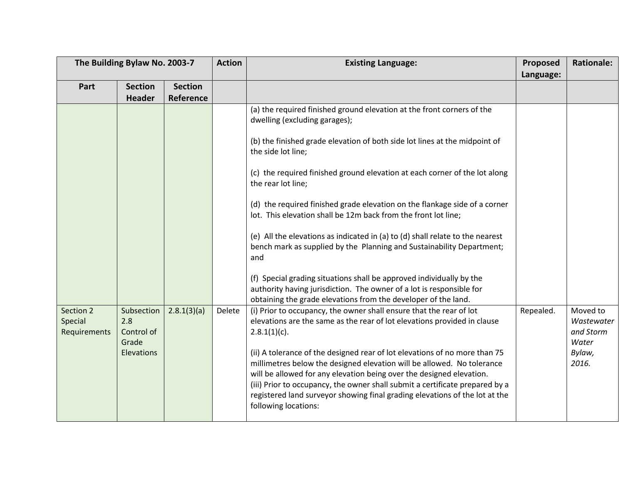| The Building Bylaw No. 2003-7 |                                          |                             | <b>Action</b> | <b>Existing Language:</b>                                                                                                                                                                                                                                                                                                                                                                                                                                                                                                                                                                                                                                                                                                                                                                                                                                                                                                 | Proposed  | <b>Rationale:</b>                                   |
|-------------------------------|------------------------------------------|-----------------------------|---------------|---------------------------------------------------------------------------------------------------------------------------------------------------------------------------------------------------------------------------------------------------------------------------------------------------------------------------------------------------------------------------------------------------------------------------------------------------------------------------------------------------------------------------------------------------------------------------------------------------------------------------------------------------------------------------------------------------------------------------------------------------------------------------------------------------------------------------------------------------------------------------------------------------------------------------|-----------|-----------------------------------------------------|
| Part                          | <b>Section</b><br><b>Header</b>          | <b>Section</b><br>Reference |               |                                                                                                                                                                                                                                                                                                                                                                                                                                                                                                                                                                                                                                                                                                                                                                                                                                                                                                                           | Language: |                                                     |
| Section 2                     | Subsection                               | 2.8.1(3)(a)                 | Delete        | (a) the required finished ground elevation at the front corners of the<br>dwelling (excluding garages);<br>(b) the finished grade elevation of both side lot lines at the midpoint of<br>the side lot line;<br>(c) the required finished ground elevation at each corner of the lot along<br>the rear lot line;<br>(d) the required finished grade elevation on the flankage side of a corner<br>lot. This elevation shall be 12m back from the front lot line;<br>(e) All the elevations as indicated in (a) to (d) shall relate to the nearest<br>bench mark as supplied by the Planning and Sustainability Department;<br>and<br>(f) Special grading situations shall be approved individually by the<br>authority having jurisdiction. The owner of a lot is responsible for<br>obtaining the grade elevations from the developer of the land.<br>(i) Prior to occupancy, the owner shall ensure that the rear of lot | Repealed. | Moved to                                            |
| Special<br>Requirements       | 2.8<br>Control of<br>Grade<br>Elevations |                             |               | elevations are the same as the rear of lot elevations provided in clause<br>$2.8.1(1)(c)$ .<br>(ii) A tolerance of the designed rear of lot elevations of no more than 75<br>millimetres below the designed elevation will be allowed. No tolerance<br>will be allowed for any elevation being over the designed elevation.<br>(iii) Prior to occupancy, the owner shall submit a certificate prepared by a<br>registered land surveyor showing final grading elevations of the lot at the<br>following locations:                                                                                                                                                                                                                                                                                                                                                                                                        |           | Wastewater<br>and Storm<br>Water<br>Bylaw,<br>2016. |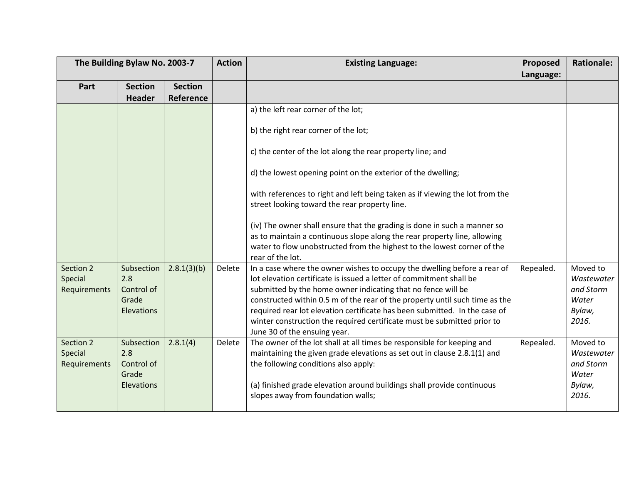|                                      | The Building Bylaw No. 2003-7                                 |                             |        | <b>Existing Language:</b>                                                                                                                                                                                                                                                                                                                                                                                                                                                                                                                                                                         | Proposed  | <b>Rationale:</b>                                               |
|--------------------------------------|---------------------------------------------------------------|-----------------------------|--------|---------------------------------------------------------------------------------------------------------------------------------------------------------------------------------------------------------------------------------------------------------------------------------------------------------------------------------------------------------------------------------------------------------------------------------------------------------------------------------------------------------------------------------------------------------------------------------------------------|-----------|-----------------------------------------------------------------|
| Part                                 | <b>Section</b><br><b>Header</b>                               | <b>Section</b><br>Reference |        |                                                                                                                                                                                                                                                                                                                                                                                                                                                                                                                                                                                                   | Language: |                                                                 |
|                                      |                                                               |                             |        | a) the left rear corner of the lot;<br>b) the right rear corner of the lot;<br>c) the center of the lot along the rear property line; and<br>d) the lowest opening point on the exterior of the dwelling;<br>with references to right and left being taken as if viewing the lot from the<br>street looking toward the rear property line.<br>(iv) The owner shall ensure that the grading is done in such a manner so<br>as to maintain a continuous slope along the rear property line, allowing<br>water to flow unobstructed from the highest to the lowest corner of the<br>rear of the lot. |           |                                                                 |
| Section 2<br>Special<br>Requirements | Subsection<br>2.8<br>Control of<br>Grade<br><b>Elevations</b> | 2.8.1(3)(b)                 | Delete | In a case where the owner wishes to occupy the dwelling before a rear of<br>lot elevation certificate is issued a letter of commitment shall be<br>submitted by the home owner indicating that no fence will be<br>constructed within 0.5 m of the rear of the property until such time as the<br>required rear lot elevation certificate has been submitted. In the case of<br>winter construction the required certificate must be submitted prior to<br>June 30 of the ensuing year.                                                                                                           | Repealed. | Moved to<br>Wastewater<br>and Storm<br>Water<br>Bylaw,<br>2016. |
| Section 2<br>Special<br>Requirements | Subsection<br>2.8<br>Control of<br>Grade<br>Elevations        | 2.8.1(4)                    | Delete | The owner of the lot shall at all times be responsible for keeping and<br>maintaining the given grade elevations as set out in clause 2.8.1(1) and<br>the following conditions also apply:<br>(a) finished grade elevation around buildings shall provide continuous<br>slopes away from foundation walls;                                                                                                                                                                                                                                                                                        | Repealed. | Moved to<br>Wastewater<br>and Storm<br>Water<br>Bylaw,<br>2016. |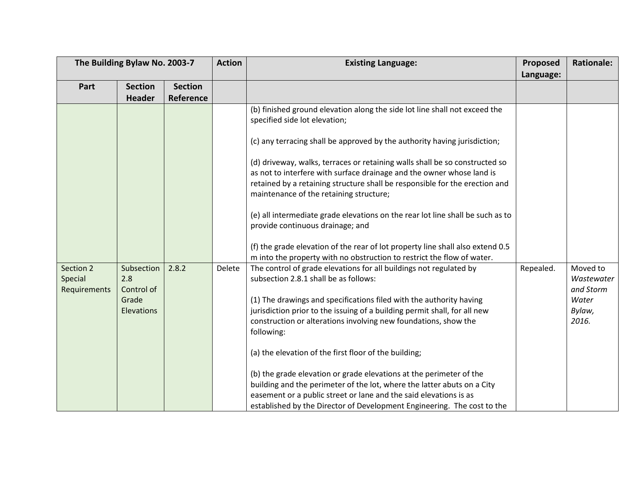| The Building Bylaw No. 2003-7        |                                                               |                | <b>Action</b> | <b>Existing Language:</b>                                                                                                                                                                                                                                                                                                                                                                                                                                                                                                                                                                        | Proposed  | <b>Rationale:</b>                                               |
|--------------------------------------|---------------------------------------------------------------|----------------|---------------|--------------------------------------------------------------------------------------------------------------------------------------------------------------------------------------------------------------------------------------------------------------------------------------------------------------------------------------------------------------------------------------------------------------------------------------------------------------------------------------------------------------------------------------------------------------------------------------------------|-----------|-----------------------------------------------------------------|
|                                      |                                                               |                |               |                                                                                                                                                                                                                                                                                                                                                                                                                                                                                                                                                                                                  | Language: |                                                                 |
| Part                                 | <b>Section</b>                                                | <b>Section</b> |               |                                                                                                                                                                                                                                                                                                                                                                                                                                                                                                                                                                                                  |           |                                                                 |
|                                      | <b>Header</b>                                                 | Reference      |               |                                                                                                                                                                                                                                                                                                                                                                                                                                                                                                                                                                                                  |           |                                                                 |
|                                      |                                                               |                |               | (b) finished ground elevation along the side lot line shall not exceed the<br>specified side lot elevation;<br>(c) any terracing shall be approved by the authority having jurisdiction;<br>(d) driveway, walks, terraces or retaining walls shall be so constructed so<br>as not to interfere with surface drainage and the owner whose land is<br>retained by a retaining structure shall be responsible for the erection and<br>maintenance of the retaining structure;<br>(e) all intermediate grade elevations on the rear lot line shall be such as to<br>provide continuous drainage; and |           |                                                                 |
|                                      |                                                               |                |               | (f) the grade elevation of the rear of lot property line shall also extend 0.5                                                                                                                                                                                                                                                                                                                                                                                                                                                                                                                   |           |                                                                 |
|                                      |                                                               |                |               | m into the property with no obstruction to restrict the flow of water.                                                                                                                                                                                                                                                                                                                                                                                                                                                                                                                           |           |                                                                 |
| Section 2<br>Special<br>Requirements | Subsection<br>2.8<br>Control of<br>Grade<br><b>Elevations</b> | 2.8.2          | Delete        | The control of grade elevations for all buildings not regulated by<br>subsection 2.8.1 shall be as follows:<br>(1) The drawings and specifications filed with the authority having<br>jurisdiction prior to the issuing of a building permit shall, for all new<br>construction or alterations involving new foundations, show the<br>following:                                                                                                                                                                                                                                                 | Repealed. | Moved to<br>Wastewater<br>and Storm<br>Water<br>Bylaw,<br>2016. |
|                                      |                                                               |                |               | (a) the elevation of the first floor of the building;<br>(b) the grade elevation or grade elevations at the perimeter of the<br>building and the perimeter of the lot, where the latter abuts on a City<br>easement or a public street or lane and the said elevations is as<br>established by the Director of Development Engineering. The cost to the                                                                                                                                                                                                                                          |           |                                                                 |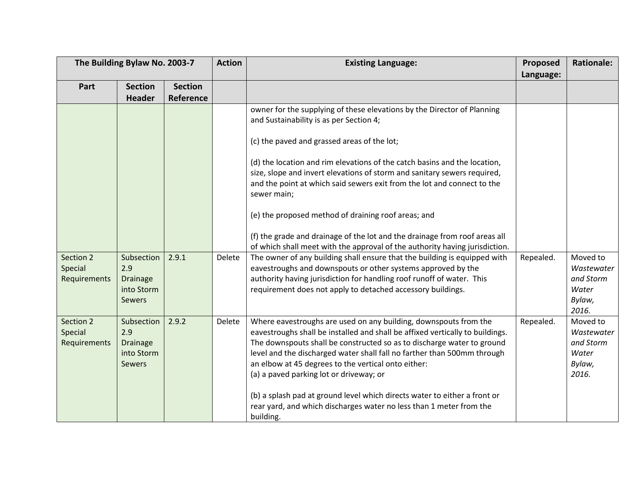| The Building Bylaw No. 2003-7        |                                                                     | <b>Action</b>  | <b>Existing Language:</b> | Proposed                                                                                                                                                                                                                                                                                                                                                                                                                                                                                                                                                                                                                                                                                                                                                 | <b>Rationale:</b> |                                                                 |
|--------------------------------------|---------------------------------------------------------------------|----------------|---------------------------|----------------------------------------------------------------------------------------------------------------------------------------------------------------------------------------------------------------------------------------------------------------------------------------------------------------------------------------------------------------------------------------------------------------------------------------------------------------------------------------------------------------------------------------------------------------------------------------------------------------------------------------------------------------------------------------------------------------------------------------------------------|-------------------|-----------------------------------------------------------------|
|                                      |                                                                     |                |                           |                                                                                                                                                                                                                                                                                                                                                                                                                                                                                                                                                                                                                                                                                                                                                          | Language:         |                                                                 |
| Part                                 | <b>Section</b>                                                      | <b>Section</b> |                           |                                                                                                                                                                                                                                                                                                                                                                                                                                                                                                                                                                                                                                                                                                                                                          |                   |                                                                 |
|                                      | <b>Header</b>                                                       | Reference      |                           |                                                                                                                                                                                                                                                                                                                                                                                                                                                                                                                                                                                                                                                                                                                                                          |                   |                                                                 |
|                                      |                                                                     |                |                           | owner for the supplying of these elevations by the Director of Planning<br>and Sustainability is as per Section 4;                                                                                                                                                                                                                                                                                                                                                                                                                                                                                                                                                                                                                                       |                   |                                                                 |
|                                      |                                                                     |                |                           | (c) the paved and grassed areas of the lot;                                                                                                                                                                                                                                                                                                                                                                                                                                                                                                                                                                                                                                                                                                              |                   |                                                                 |
| Section 2<br>Special<br>Requirements | Subsection<br>2.9<br><b>Drainage</b><br>into Storm                  | 2.9.1          | Delete                    | (d) the location and rim elevations of the catch basins and the location,<br>size, slope and invert elevations of storm and sanitary sewers required,<br>and the point at which said sewers exit from the lot and connect to the<br>sewer main;<br>(e) the proposed method of draining roof areas; and<br>(f) the grade and drainage of the lot and the drainage from roof areas all<br>of which shall meet with the approval of the authority having jurisdiction.<br>The owner of any building shall ensure that the building is equipped with<br>eavestroughs and downspouts or other systems approved by the<br>authority having jurisdiction for handling roof runoff of water. This<br>requirement does not apply to detached accessory buildings. | Repealed.         | Moved to<br>Wastewater<br>and Storm<br>Water                    |
|                                      | <b>Sewers</b>                                                       |                |                           |                                                                                                                                                                                                                                                                                                                                                                                                                                                                                                                                                                                                                                                                                                                                                          |                   | Bylaw,<br>2016.                                                 |
| Section 2<br>Special<br>Requirements | Subsection<br>2.9<br><b>Drainage</b><br>into Storm<br><b>Sewers</b> | 2.9.2          | Delete                    | Where eavestroughs are used on any building, downspouts from the<br>eavestroughs shall be installed and shall be affixed vertically to buildings.<br>The downspouts shall be constructed so as to discharge water to ground<br>level and the discharged water shall fall no farther than 500mm through<br>an elbow at 45 degrees to the vertical onto either:<br>(a) a paved parking lot or driveway; or<br>(b) a splash pad at ground level which directs water to either a front or<br>rear yard, and which discharges water no less than 1 meter from the                                                                                                                                                                                             | Repealed.         | Moved to<br>Wastewater<br>and Storm<br>Water<br>Bylaw,<br>2016. |
|                                      |                                                                     |                |                           | building.                                                                                                                                                                                                                                                                                                                                                                                                                                                                                                                                                                                                                                                                                                                                                |                   |                                                                 |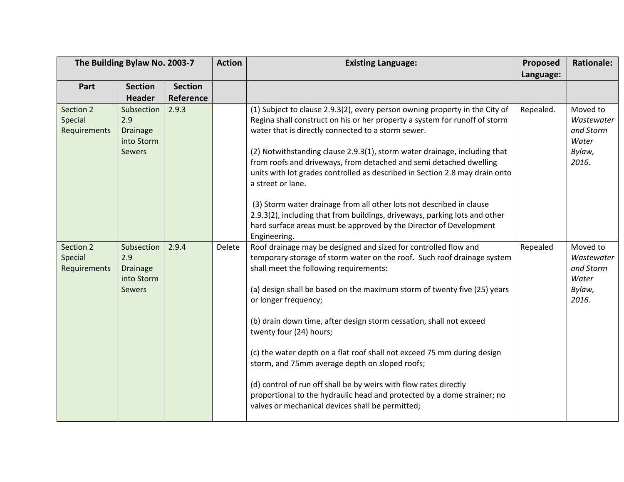| The Building Bylaw No. 2003-7        |                                                                     |                    | <b>Action</b> | <b>Existing Language:</b>                                                                                                                                                                                                                                                                                                                                                                                                                                                                                                                                                                                                                                                                                                   | Proposed  | <b>Rationale:</b>                                               |
|--------------------------------------|---------------------------------------------------------------------|--------------------|---------------|-----------------------------------------------------------------------------------------------------------------------------------------------------------------------------------------------------------------------------------------------------------------------------------------------------------------------------------------------------------------------------------------------------------------------------------------------------------------------------------------------------------------------------------------------------------------------------------------------------------------------------------------------------------------------------------------------------------------------------|-----------|-----------------------------------------------------------------|
|                                      |                                                                     |                    |               |                                                                                                                                                                                                                                                                                                                                                                                                                                                                                                                                                                                                                                                                                                                             | Language: |                                                                 |
| Part                                 | <b>Section</b>                                                      | <b>Section</b>     |               |                                                                                                                                                                                                                                                                                                                                                                                                                                                                                                                                                                                                                                                                                                                             |           |                                                                 |
| Section 2                            | <b>Header</b><br>Subsection                                         | Reference<br>2.9.3 |               |                                                                                                                                                                                                                                                                                                                                                                                                                                                                                                                                                                                                                                                                                                                             | Repealed. | Moved to                                                        |
| Special<br>Requirements              | 2.9<br><b>Drainage</b><br>into Storm<br><b>Sewers</b>               |                    |               | (1) Subject to clause 2.9.3(2), every person owning property in the City of<br>Regina shall construct on his or her property a system for runoff of storm<br>water that is directly connected to a storm sewer.<br>(2) Notwithstanding clause 2.9.3(1), storm water drainage, including that<br>from roofs and driveways, from detached and semi detached dwelling<br>units with lot grades controlled as described in Section 2.8 may drain onto<br>a street or lane.                                                                                                                                                                                                                                                      |           | Wastewater<br>and Storm<br>Water<br>Bylaw,<br>2016.             |
|                                      |                                                                     |                    |               | (3) Storm water drainage from all other lots not described in clause<br>2.9.3(2), including that from buildings, driveways, parking lots and other<br>hard surface areas must be approved by the Director of Development<br>Engineering.                                                                                                                                                                                                                                                                                                                                                                                                                                                                                    |           |                                                                 |
| Section 2<br>Special<br>Requirements | Subsection<br>2.9<br><b>Drainage</b><br>into Storm<br><b>Sewers</b> | 2.9.4              | Delete        | Roof drainage may be designed and sized for controlled flow and<br>temporary storage of storm water on the roof. Such roof drainage system<br>shall meet the following requirements:<br>(a) design shall be based on the maximum storm of twenty five (25) years<br>or longer frequency;<br>(b) drain down time, after design storm cessation, shall not exceed<br>twenty four (24) hours;<br>(c) the water depth on a flat roof shall not exceed 75 mm during design<br>storm, and 75mm average depth on sloped roofs;<br>(d) control of run off shall be by weirs with flow rates directly<br>proportional to the hydraulic head and protected by a dome strainer; no<br>valves or mechanical devices shall be permitted; | Repealed  | Moved to<br>Wastewater<br>and Storm<br>Water<br>Bylaw,<br>2016. |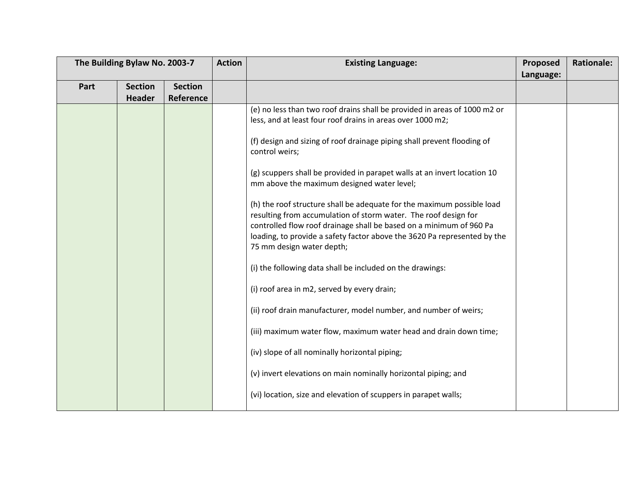| The Building Bylaw No. 2003-7 |                | <b>Action</b>  | <b>Existing Language:</b> | Proposed                                                                                                                                                                                                                                                                                                                  | <b>Rationale:</b> |  |
|-------------------------------|----------------|----------------|---------------------------|---------------------------------------------------------------------------------------------------------------------------------------------------------------------------------------------------------------------------------------------------------------------------------------------------------------------------|-------------------|--|
|                               |                |                |                           |                                                                                                                                                                                                                                                                                                                           | Language:         |  |
| Part                          | <b>Section</b> | <b>Section</b> |                           |                                                                                                                                                                                                                                                                                                                           |                   |  |
|                               | <b>Header</b>  | Reference      |                           |                                                                                                                                                                                                                                                                                                                           |                   |  |
|                               |                |                |                           | (e) no less than two roof drains shall be provided in areas of 1000 m2 or                                                                                                                                                                                                                                                 |                   |  |
|                               |                |                |                           | less, and at least four roof drains in areas over 1000 m2;                                                                                                                                                                                                                                                                |                   |  |
|                               |                |                |                           | (f) design and sizing of roof drainage piping shall prevent flooding of<br>control weirs;                                                                                                                                                                                                                                 |                   |  |
|                               |                |                |                           | (g) scuppers shall be provided in parapet walls at an invert location 10<br>mm above the maximum designed water level;                                                                                                                                                                                                    |                   |  |
|                               |                |                |                           | (h) the roof structure shall be adequate for the maximum possible load<br>resulting from accumulation of storm water. The roof design for<br>controlled flow roof drainage shall be based on a minimum of 960 Pa<br>loading, to provide a safety factor above the 3620 Pa represented by the<br>75 mm design water depth; |                   |  |
|                               |                |                |                           | (i) the following data shall be included on the drawings:                                                                                                                                                                                                                                                                 |                   |  |
|                               |                |                |                           | (i) roof area in m2, served by every drain;                                                                                                                                                                                                                                                                               |                   |  |
|                               |                |                |                           | (ii) roof drain manufacturer, model number, and number of weirs;                                                                                                                                                                                                                                                          |                   |  |
|                               |                |                |                           | (iii) maximum water flow, maximum water head and drain down time;                                                                                                                                                                                                                                                         |                   |  |
|                               |                |                |                           | (iv) slope of all nominally horizontal piping;                                                                                                                                                                                                                                                                            |                   |  |
|                               |                |                |                           | (v) invert elevations on main nominally horizontal piping; and                                                                                                                                                                                                                                                            |                   |  |
|                               |                |                |                           | (vi) location, size and elevation of scuppers in parapet walls;                                                                                                                                                                                                                                                           |                   |  |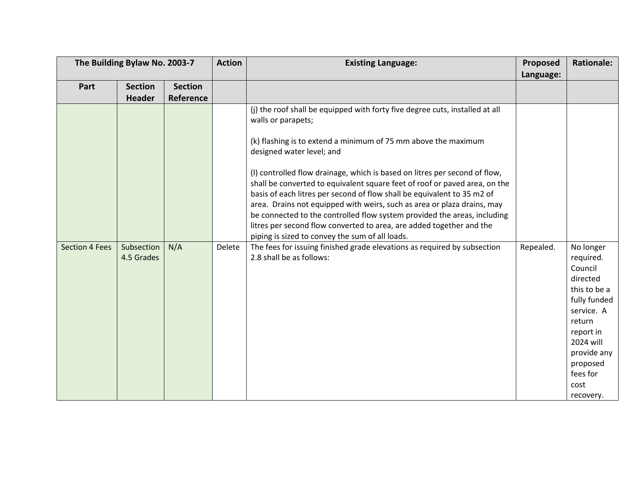| The Building Bylaw No. 2003-7 |                          |                | <b>Action</b> | <b>Existing Language:</b>                                                                                                                                                                                                                                                                                                                                                                                                                                                                                             | Proposed  | <b>Rationale:</b>                                                                                                                                                                           |
|-------------------------------|--------------------------|----------------|---------------|-----------------------------------------------------------------------------------------------------------------------------------------------------------------------------------------------------------------------------------------------------------------------------------------------------------------------------------------------------------------------------------------------------------------------------------------------------------------------------------------------------------------------|-----------|---------------------------------------------------------------------------------------------------------------------------------------------------------------------------------------------|
|                               |                          |                |               |                                                                                                                                                                                                                                                                                                                                                                                                                                                                                                                       | Language: |                                                                                                                                                                                             |
| Part                          | <b>Section</b>           | <b>Section</b> |               |                                                                                                                                                                                                                                                                                                                                                                                                                                                                                                                       |           |                                                                                                                                                                                             |
|                               | <b>Header</b>            | Reference      |               |                                                                                                                                                                                                                                                                                                                                                                                                                                                                                                                       |           |                                                                                                                                                                                             |
|                               |                          |                |               | (j) the roof shall be equipped with forty five degree cuts, installed at all<br>walls or parapets;                                                                                                                                                                                                                                                                                                                                                                                                                    |           |                                                                                                                                                                                             |
|                               |                          |                |               | (k) flashing is to extend a minimum of 75 mm above the maximum<br>designed water level; and                                                                                                                                                                                                                                                                                                                                                                                                                           |           |                                                                                                                                                                                             |
|                               |                          |                |               | (I) controlled flow drainage, which is based on litres per second of flow,<br>shall be converted to equivalent square feet of roof or paved area, on the<br>basis of each litres per second of flow shall be equivalent to 35 m2 of<br>area. Drains not equipped with weirs, such as area or plaza drains, may<br>be connected to the controlled flow system provided the areas, including<br>litres per second flow converted to area, are added together and the<br>piping is sized to convey the sum of all loads. |           |                                                                                                                                                                                             |
| <b>Section 4 Fees</b>         | Subsection<br>4.5 Grades | N/A            | Delete        | The fees for issuing finished grade elevations as required by subsection<br>2.8 shall be as follows:                                                                                                                                                                                                                                                                                                                                                                                                                  | Repealed. | No longer<br>required.<br>Council<br>directed<br>this to be a<br>fully funded<br>service. A<br>return<br>report in<br>2024 will<br>provide any<br>proposed<br>fees for<br>cost<br>recovery. |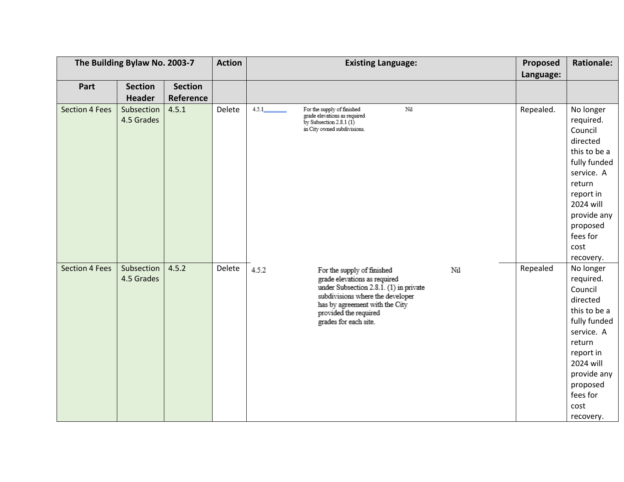| The Building Bylaw No. 2003-7 |                          |                | <b>Action</b> | <b>Existing Language:</b>                                                                                                                                                                                                                    | Proposed  | <b>Rationale:</b>                                                                                                                                                                           |
|-------------------------------|--------------------------|----------------|---------------|----------------------------------------------------------------------------------------------------------------------------------------------------------------------------------------------------------------------------------------------|-----------|---------------------------------------------------------------------------------------------------------------------------------------------------------------------------------------------|
|                               |                          |                |               |                                                                                                                                                                                                                                              | Language: |                                                                                                                                                                                             |
| Part                          | <b>Section</b>           | <b>Section</b> |               |                                                                                                                                                                                                                                              |           |                                                                                                                                                                                             |
|                               | <b>Header</b>            | Reference      |               |                                                                                                                                                                                                                                              |           |                                                                                                                                                                                             |
| <b>Section 4 Fees</b>         | Subsection<br>4.5 Grades | 4.5.1          | Delete        | Nil<br>4.5.1<br>For the supply of finished<br>grade elevations as required<br>by Subsection $2.8.1(1)$<br>in City owned subdivisions.                                                                                                        | Repealed. | No longer<br>required.<br>Council<br>directed<br>this to be a<br>fully funded<br>service. A<br>return<br>report in<br>2024 will<br>provide any<br>proposed<br>fees for<br>cost<br>recovery. |
| <b>Section 4 Fees</b>         | Subsection<br>4.5 Grades | 4.5.2          | Delete        | 4.5.2<br>Nil<br>For the supply of finished<br>grade elevations as required<br>under Subsection 2.8.1. (1) in private<br>subdivisions where the developer<br>has by agreement with the City<br>provided the required<br>grades for each site. | Repealed  | No longer<br>required.<br>Council<br>directed<br>this to be a<br>fully funded<br>service. A<br>return<br>report in<br>2024 will<br>provide any<br>proposed<br>fees for<br>cost<br>recovery. |